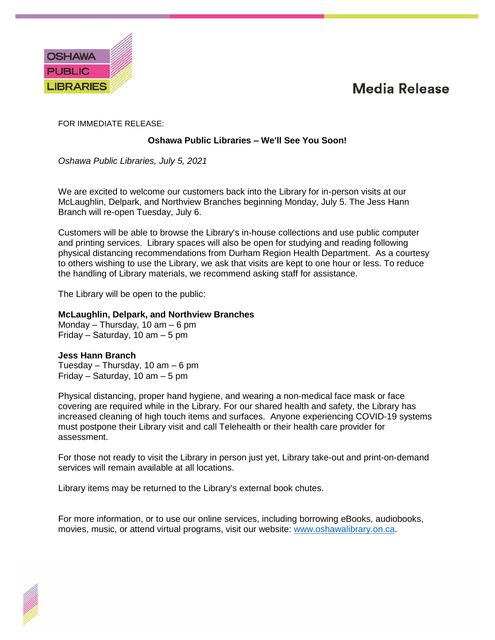## **Media Release**



FOR IMMEDIATE RELEASE:

## **Oshawa Public Libraries – We'll See You Soon!**

*Oshawa Public Libraries, July 5, 2021*

We are excited to welcome our customers back into the Library for in-person visits at our McLaughlin, Delpark, and Northview Branches beginning Monday, July 5. The Jess Hann Branch will re-open Tuesday, July 6.

Customers will be able to browse the Library's in-house collections and use public computer and printing services. Library spaces will also be open for studying and reading following physical distancing recommendations from Durham Region Health Department. As a courtesy to others wishing to use the Library, we ask that visits are kept to one hour or less. To reduce the handling of Library materials, we recommend asking staff for assistance.

The Library will be open to the public:

## **McLaughlin, Delpark, and Northview Branches**

Monday – Thursday, 10 am – 6 pm Friday – Saturday, 10 am – 5 pm

## **Jess Hann Branch**

Tuesday – Thursday, 10 am – 6 pm Friday – Saturday, 10 am – 5 pm

Physical distancing, proper hand hygiene, and wearing a non-medical face mask or face covering are required while in the Library. For our shared health and safety, the Library has increased cleaning of high touch items and surfaces. Anyone experiencing COVID-19 systems must postpone their Library visit and call Telehealth or their health care provider for assessment.

For those not ready to visit the Library in person just yet, Library take-out and print-on-demand services will remain available at all locations.

Library items may be returned to the Library's external book chutes.

For more information, or to use our online services, including borrowing eBooks, audiobooks, movies, music, or attend virtual programs, visit our website: [www.oshawalibrary.on.ca.](http://www.oshawalibrary.on.ca/)